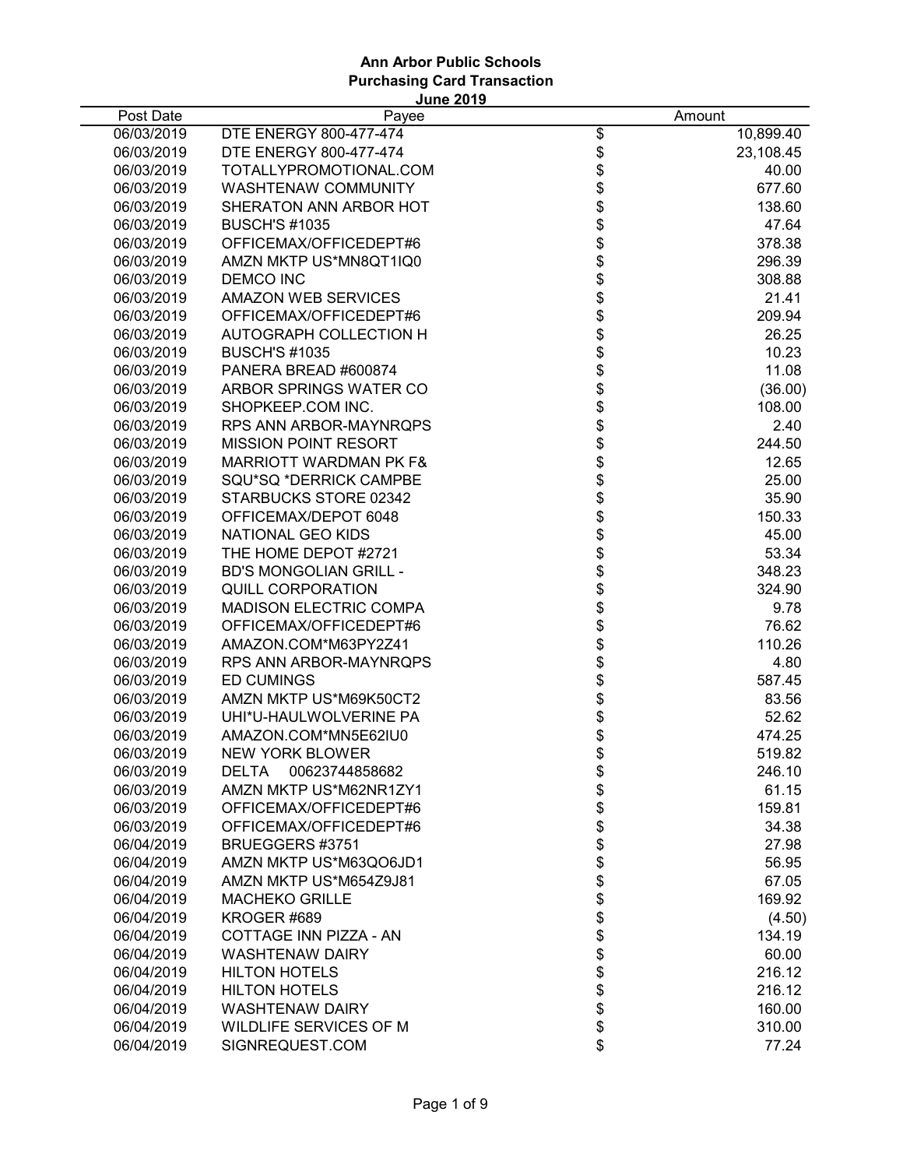|            | <b>June 2019</b>                  |                |           |
|------------|-----------------------------------|----------------|-----------|
| Post Date  | Payee                             |                | Amount    |
| 06/03/2019 | DTE ENERGY 800-477-474            | \$             | 10,899.40 |
| 06/03/2019 | DTE ENERGY 800-477-474            |                | 23,108.45 |
| 06/03/2019 | TOTALLYPROMOTIONAL.COM            | <b>8888888</b> | 40.00     |
| 06/03/2019 | WASHTENAW COMMUNITY               |                | 677.60    |
| 06/03/2019 | SHERATON ANN ARBOR HOT            |                | 138.60    |
| 06/03/2019 | <b>BUSCH'S #1035</b>              |                | 47.64     |
| 06/03/2019 | OFFICEMAX/OFFICEDEPT#6            |                | 378.38    |
| 06/03/2019 | AMZN MKTP US*MN8QT1IQ0            |                | 296.39    |
| 06/03/2019 | <b>DEMCO INC</b>                  |                | 308.88    |
| 06/03/2019 | <b>AMAZON WEB SERVICES</b>        | \$             | 21.41     |
| 06/03/2019 | OFFICEMAX/OFFICEDEPT#6            | \$             | 209.94    |
| 06/03/2019 | AUTOGRAPH COLLECTION H            | \$             | 26.25     |
| 06/03/2019 | <b>BUSCH'S #1035</b>              | \$             | 10.23     |
| 06/03/2019 | PANERA BREAD #600874              | \$             | 11.08     |
| 06/03/2019 | ARBOR SPRINGS WATER CO            |                | (36.00)   |
| 06/03/2019 | SHOPKEEP.COM INC.                 |                | 108.00    |
| 06/03/2019 | RPS ANN ARBOR-MAYNRQPS            |                | 2.40      |
| 06/03/2019 | <b>MISSION POINT RESORT</b>       |                | 244.50    |
| 06/03/2019 | <b>MARRIOTT WARDMAN PK F&amp;</b> |                | 12.65     |
| 06/03/2019 | SQU*SQ *DERRICK CAMPBE            |                | 25.00     |
| 06/03/2019 | STARBUCKS STORE 02342             |                | 35.90     |
| 06/03/2019 | OFFICEMAX/DEPOT 6048              |                | 150.33    |
| 06/03/2019 | NATIONAL GEO KIDS                 |                | 45.00     |
| 06/03/2019 | THE HOME DEPOT #2721              |                | 53.34     |
| 06/03/2019 | <b>BD'S MONGOLIAN GRILL -</b>     |                | 348.23    |
| 06/03/2019 | <b>QUILL CORPORATION</b>          |                | 324.90    |
| 06/03/2019 | <b>MADISON ELECTRIC COMPA</b>     |                | 9.78      |
| 06/03/2019 | OFFICEMAX/OFFICEDEPT#6            | \$             | 76.62     |
| 06/03/2019 | AMAZON.COM*M63PY2Z41              | \$             | 110.26    |
| 06/03/2019 | RPS ANN ARBOR-MAYNRQPS            | \$             | 4.80      |
| 06/03/2019 | <b>ED CUMINGS</b>                 | \$             | 587.45    |
| 06/03/2019 | AMZN MKTP US*M69K50CT2            |                | 83.56     |
| 06/03/2019 | UHI*U-HAULWOLVERINE PA            | \$\$           | 52.62     |
| 06/03/2019 | AMAZON.COM*MN5E62IU0              |                | 474.25    |
| 06/03/2019 | <b>NEW YORK BLOWER</b>            | \$             | 519.82    |
| 06/03/2019 | 00623744858682<br>DELTA           |                | 246.10    |
| 06/03/2019 | AMZN MKTP US*M62NR1ZY1            | \$\$\$         | 61.15     |
| 06/03/2019 | OFFICEMAX/OFFICEDEPT#6            |                | 159.81    |
| 06/03/2019 | OFFICEMAX/OFFICEDEPT#6            |                | 34.38     |
| 06/04/2019 | BRUEGGERS #3751                   | \$             | 27.98     |
| 06/04/2019 | AMZN MKTP US*M63QO6JD1            | \$             | 56.95     |
| 06/04/2019 | AMZN MKTP US*M654Z9J81            | \$             | 67.05     |
| 06/04/2019 | <b>MACHEKO GRILLE</b>             | \$             | 169.92    |
| 06/04/2019 | KROGER #689                       | \$             | (4.50)    |
| 06/04/2019 | COTTAGE INN PIZZA - AN            | \$             | 134.19    |
| 06/04/2019 | <b>WASHTENAW DAIRY</b>            | \$             | 60.00     |
| 06/04/2019 | <b>HILTON HOTELS</b>              | \$             | 216.12    |
| 06/04/2019 | <b>HILTON HOTELS</b>              | \$             | 216.12    |
| 06/04/2019 | <b>WASHTENAW DAIRY</b>            | \$             | 160.00    |
| 06/04/2019 | WILDLIFE SERVICES OF M            | \$             | 310.00    |
| 06/04/2019 | SIGNREQUEST.COM                   | \$             | 77.24     |
|            |                                   |                |           |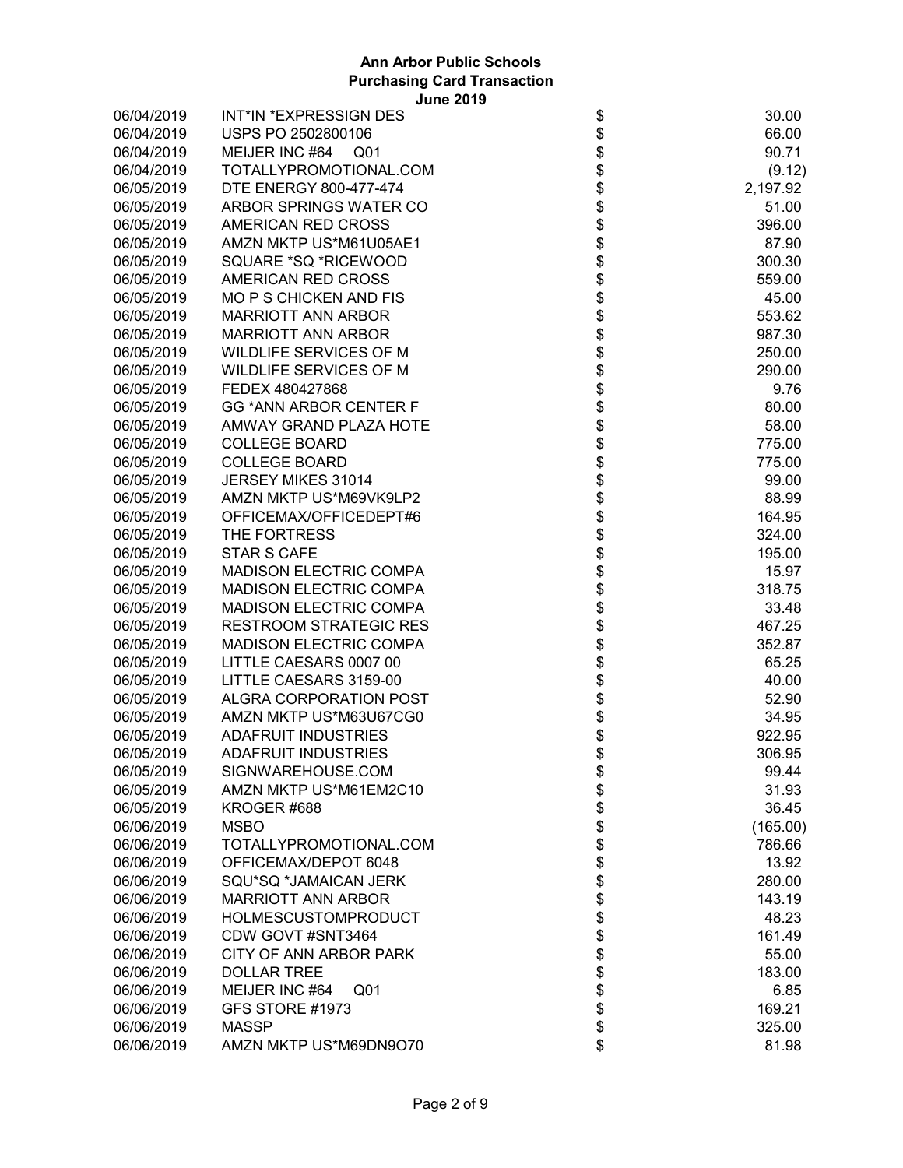| 06/04/2019 | INT*IN *EXPRESSIGN DES        |                                                                      | 30.00    |
|------------|-------------------------------|----------------------------------------------------------------------|----------|
| 06/04/2019 | USPS PO 2502800106            |                                                                      | 66.00    |
| 06/04/2019 | MEIJER INC #64<br>Q01         |                                                                      | 90.71    |
| 06/04/2019 | TOTALLYPROMOTIONAL.COM        |                                                                      | (9.12)   |
| 06/05/2019 | DTE ENERGY 800-477-474        |                                                                      | 2,197.92 |
| 06/05/2019 | ARBOR SPRINGS WATER CO        |                                                                      | 51.00    |
| 06/05/2019 | AMERICAN RED CROSS            |                                                                      | 396.00   |
| 06/05/2019 | AMZN MKTP US*M61U05AE1        |                                                                      | 87.90    |
| 06/05/2019 | SQUARE *SQ *RICEWOOD          |                                                                      | 300.30   |
| 06/05/2019 | AMERICAN RED CROSS            |                                                                      | 559.00   |
| 06/05/2019 | <b>MO P S CHICKEN AND FIS</b> |                                                                      | 45.00    |
| 06/05/2019 | <b>MARRIOTT ANN ARBOR</b>     |                                                                      | 553.62   |
| 06/05/2019 | <b>MARRIOTT ANN ARBOR</b>     |                                                                      | 987.30   |
| 06/05/2019 | WILDLIFE SERVICES OF M        |                                                                      | 250.00   |
| 06/05/2019 | WILDLIFE SERVICES OF M        |                                                                      | 290.00   |
| 06/05/2019 | FEDEX 480427868               |                                                                      | 9.76     |
| 06/05/2019 | <b>GG *ANN ARBOR CENTER F</b> |                                                                      | 80.00    |
| 06/05/2019 | AMWAY GRAND PLAZA HOTE        |                                                                      | 58.00    |
| 06/05/2019 | <b>COLLEGE BOARD</b>          |                                                                      | 775.00   |
| 06/05/2019 | <b>COLLEGE BOARD</b>          |                                                                      | 775.00   |
| 06/05/2019 | JERSEY MIKES 31014            |                                                                      | 99.00    |
| 06/05/2019 | AMZN MKTP US*M69VK9LP2        |                                                                      | 88.99    |
| 06/05/2019 | OFFICEMAX/OFFICEDEPT#6        |                                                                      | 164.95   |
| 06/05/2019 | THE FORTRESS                  |                                                                      | 324.00   |
| 06/05/2019 | <b>STAR S CAFE</b>            |                                                                      | 195.00   |
| 06/05/2019 | <b>MADISON ELECTRIC COMPA</b> | \$\$\$\$\$\$\$\$\$\$\$\$\$\$\$\$\$\$\$\$\$\$\$\$\$\$\$\$\$\$\$\$\$\$ | 15.97    |
| 06/05/2019 | MADISON ELECTRIC COMPA        |                                                                      | 318.75   |
| 06/05/2019 | <b>MADISON ELECTRIC COMPA</b> |                                                                      | 33.48    |
| 06/05/2019 | <b>RESTROOM STRATEGIC RES</b> |                                                                      | 467.25   |
| 06/05/2019 | <b>MADISON ELECTRIC COMPA</b> |                                                                      | 352.87   |
| 06/05/2019 | LITTLE CAESARS 0007 00        | \$                                                                   | 65.25    |
| 06/05/2019 | LITTLE CAESARS 3159-00        | \$                                                                   | 40.00    |
| 06/05/2019 | ALGRA CORPORATION POST        | <b>\$\$\$</b>                                                        | 52.90    |
| 06/05/2019 | AMZN MKTP US*M63U67CG0        |                                                                      | 34.95    |
| 06/05/2019 | <b>ADAFRUIT INDUSTRIES</b>    |                                                                      | 922.95   |
| 06/05/2019 | <b>ADAFRUIT INDUSTRIES</b>    |                                                                      | 306.95   |
| 06/05/2019 | SIGNWAREHOUSE.COM             | \$                                                                   | 99.44    |
| 06/05/2019 | AMZN MKTP US*M61EM2C10        |                                                                      | 31.93    |
| 06/05/2019 | KROGER #688                   |                                                                      | 36.45    |
| 06/06/2019 | <b>MSBO</b>                   |                                                                      | (165.00) |
| 06/06/2019 | TOTALLYPROMOTIONAL.COM        | \$\$\$\$\$                                                           | 786.66   |
| 06/06/2019 | OFFICEMAX/DEPOT 6048          |                                                                      | 13.92    |
| 06/06/2019 | SQU*SQ *JAMAICAN JERK         | \$\$                                                                 | 280.00   |
| 06/06/2019 | <b>MARRIOTT ANN ARBOR</b>     |                                                                      | 143.19   |
| 06/06/2019 | <b>HOLMESCUSTOMPRODUCT</b>    |                                                                      | 48.23    |
| 06/06/2019 | CDW GOVT #SNT3464             |                                                                      | 161.49   |
| 06/06/2019 | CITY OF ANN ARBOR PARK        |                                                                      | 55.00    |
| 06/06/2019 | <b>DOLLAR TREE</b>            | \$\$\$\$\$\$\$                                                       | 183.00   |
| 06/06/2019 | MEIJER INC #64<br>Q01         |                                                                      | 6.85     |
| 06/06/2019 | GFS STORE #1973               |                                                                      | 169.21   |
| 06/06/2019 | <b>MASSP</b>                  |                                                                      | 325.00   |
| 06/06/2019 | AMZN MKTP US*M69DN9O70        | \$                                                                   | 81.98    |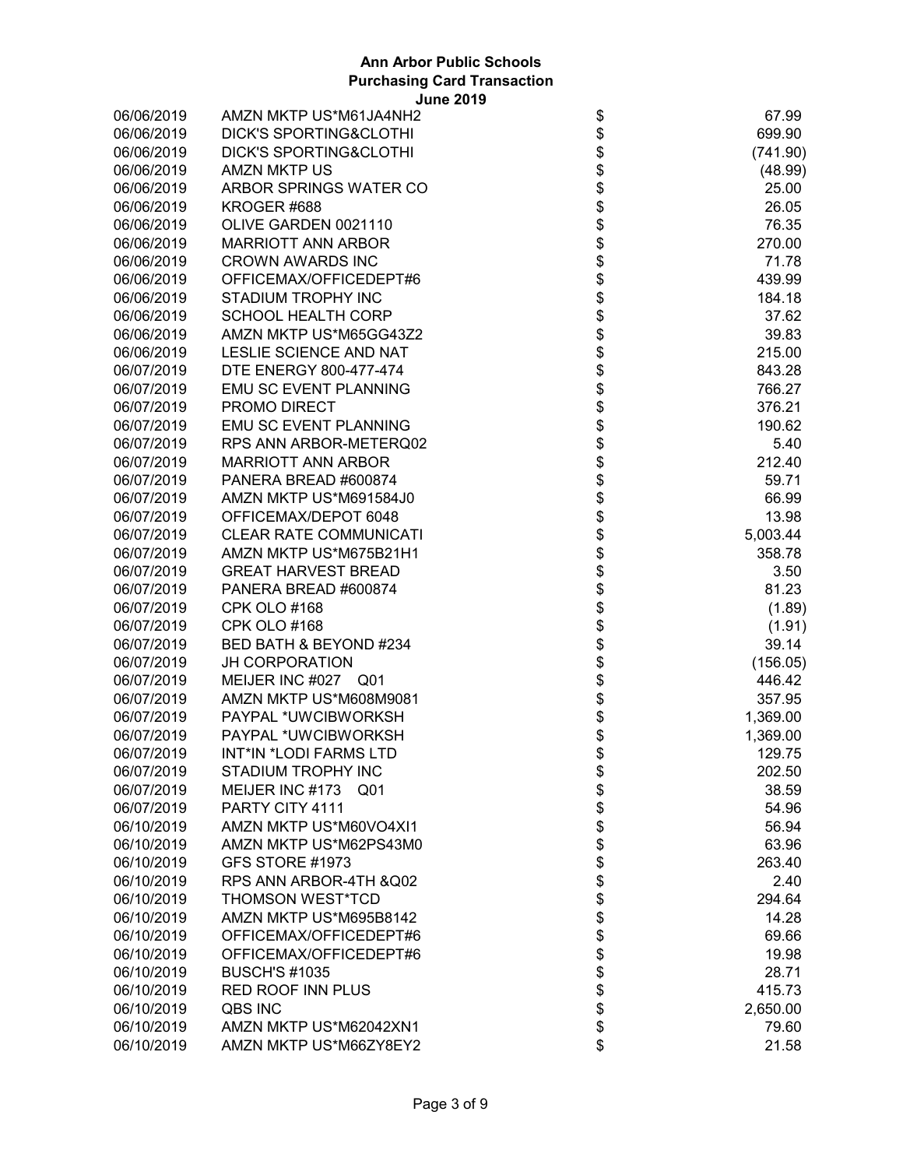| 06/06/2019 | AMZN MKTP US*M61JA4NH2                                   | \$                       | 67.99    |
|------------|----------------------------------------------------------|--------------------------|----------|
| 06/06/2019 | <b>DICK'S SPORTING&amp;CLOTHI</b>                        | \$                       | 699.90   |
| 06/06/2019 | <b>DICK'S SPORTING&amp;CLOTHI</b>                        | \$                       | (741.90) |
| 06/06/2019 | <b>AMZN MKTP US</b>                                      | \$                       | (48.99)  |
| 06/06/2019 | ARBOR SPRINGS WATER CO                                   | \$<br>\$                 | 25.00    |
| 06/06/2019 | KROGER #688                                              |                          | 26.05    |
| 06/06/2019 | OLIVE GARDEN 0021110                                     | \$                       | 76.35    |
| 06/06/2019 | <b>MARRIOTT ANN ARBOR</b>                                |                          | 270.00   |
| 06/06/2019 | <b>CROWN AWARDS INC</b>                                  | \$\$\$                   | 71.78    |
| 06/06/2019 | OFFICEMAX/OFFICEDEPT#6                                   |                          | 439.99   |
| 06/06/2019 | STADIUM TROPHY INC                                       |                          | 184.18   |
| 06/06/2019 | <b>SCHOOL HEALTH CORP</b>                                | \$\$                     | 37.62    |
| 06/06/2019 | AMZN MKTP US*M65GG43Z2                                   |                          | 39.83    |
| 06/06/2019 | LESLIE SCIENCE AND NAT                                   |                          | 215.00   |
| 06/07/2019 | DTE ENERGY 800-477-474                                   | \$                       | 843.28   |
| 06/07/2019 | <b>EMU SC EVENT PLANNING</b>                             | \$                       | 766.27   |
| 06/07/2019 | PROMO DIRECT                                             |                          | 376.21   |
| 06/07/2019 | <b>EMU SC EVENT PLANNING</b>                             |                          | 190.62   |
| 06/07/2019 | RPS ANN ARBOR-METERQ02                                   |                          | 5.40     |
| 06/07/2019 | <b>MARRIOTT ANN ARBOR</b>                                |                          | 212.40   |
| 06/07/2019 | PANERA BREAD #600874                                     |                          | 59.71    |
| 06/07/2019 | AMZN MKTP US*M691584J0                                   |                          | 66.99    |
| 06/07/2019 | OFFICEMAX/DEPOT 6048                                     |                          | 13.98    |
| 06/07/2019 | <b>CLEAR RATE COMMUNICATI</b>                            |                          | 5,003.44 |
| 06/07/2019 | AMZN MKTP US*M675B21H1                                   |                          | 358.78   |
| 06/07/2019 | <b>GREAT HARVEST BREAD</b>                               |                          | 3.50     |
| 06/07/2019 | PANERA BREAD #600874                                     | <b>888888888888</b>      | 81.23    |
| 06/07/2019 | CPK OLO #168                                             |                          | (1.89)   |
| 06/07/2019 | <b>CPK OLO #168</b>                                      |                          | (1.91)   |
| 06/07/2019 | BED BATH & BEYOND #234                                   | \$\$                     | 39.14    |
| 06/07/2019 | <b>JH CORPORATION</b>                                    |                          | (156.05) |
| 06/07/2019 | MEIJER INC #027 Q01                                      | \$                       | 446.42   |
| 06/07/2019 | AMZN MKTP US*M608M9081                                   | \$                       | 357.95   |
| 06/07/2019 | PAYPAL *UWCIBWORKSH                                      | \$                       | 1,369.00 |
| 06/07/2019 | PAYPAL *UWCIBWORKSH                                      | \$                       | 1,369.00 |
| 06/07/2019 | INT*IN *LODI FARMS LTD                                   | \$                       | 129.75   |
| 06/07/2019 |                                                          |                          | 202.50   |
| 06/07/2019 | STADIUM TROPHY INC<br>MEIJER INC #173<br>Q <sub>01</sub> | \$                       | 38.59    |
| 06/07/2019 | PARTY CITY 4111                                          |                          | 54.96    |
|            | AMZN MKTP US*M60VO4XI1                                   | \$\$\$\$\$\$\$\$\$\$\$\$ |          |
| 06/10/2019 |                                                          |                          | 56.94    |
| 06/10/2019 | AMZN MKTP US*M62PS43M0                                   |                          | 63.96    |
| 06/10/2019 | GFS STORE #1973                                          |                          | 263.40   |
| 06/10/2019 | RPS ANN ARBOR-4TH & Q02                                  |                          | 2.40     |
| 06/10/2019 | <b>THOMSON WEST*TCD</b>                                  |                          | 294.64   |
| 06/10/2019 | AMZN MKTP US*M695B8142                                   |                          | 14.28    |
| 06/10/2019 | OFFICEMAX/OFFICEDEPT#6                                   |                          | 69.66    |
| 06/10/2019 | OFFICEMAX/OFFICEDEPT#6                                   |                          | 19.98    |
| 06/10/2019 | <b>BUSCH'S #1035</b>                                     |                          | 28.71    |
| 06/10/2019 | <b>RED ROOF INN PLUS</b>                                 | \$\$                     | 415.73   |
| 06/10/2019 | QBS INC                                                  |                          | 2,650.00 |
| 06/10/2019 | AMZN MKTP US*M62042XN1                                   |                          | 79.60    |
| 06/10/2019 | AMZN MKTP US*M66ZY8EY2                                   | \$                       | 21.58    |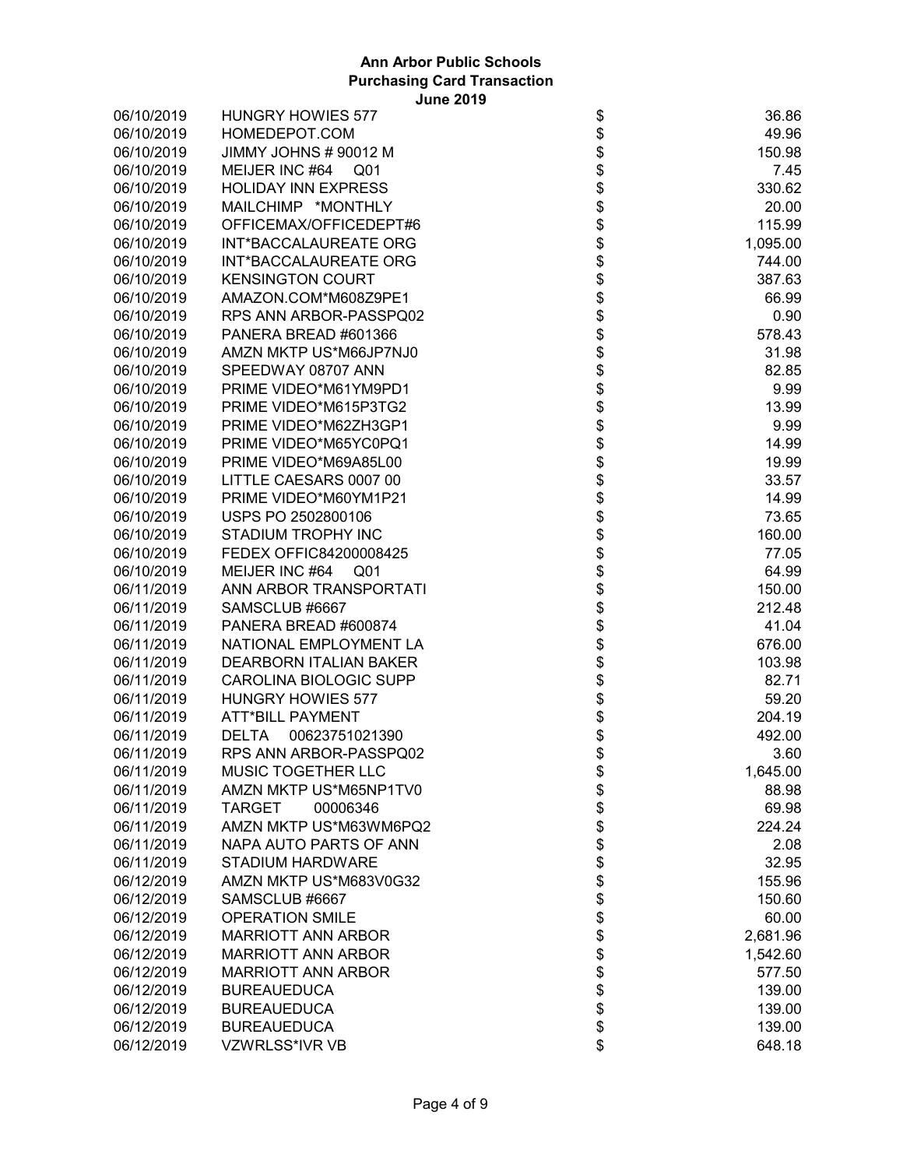| 06/10/2019 | <b>HUNGRY HOWIES 577</b>       |                                    | 36.86    |
|------------|--------------------------------|------------------------------------|----------|
| 06/10/2019 | HOMEDEPOT.COM                  |                                    | 49.96    |
| 06/10/2019 | JIMMY JOHNS # 90012 M          |                                    | 150.98   |
| 06/10/2019 | MEIJER INC #64<br>Q01          |                                    | 7.45     |
| 06/10/2019 | <b>HOLIDAY INN EXPRESS</b>     |                                    | 330.62   |
| 06/10/2019 | MAILCHIMP *MONTHLY             |                                    | 20.00    |
| 06/10/2019 | OFFICEMAX/OFFICEDEPT#6         |                                    | 115.99   |
| 06/10/2019 | INT*BACCALAUREATE ORG          |                                    | 1,095.00 |
| 06/10/2019 | INT*BACCALAUREATE ORG          |                                    | 744.00   |
| 06/10/2019 | <b>KENSINGTON COURT</b>        |                                    | 387.63   |
| 06/10/2019 | AMAZON.COM*M608Z9PE1           |                                    | 66.99    |
| 06/10/2019 | RPS ANN ARBOR-PASSPQ02         |                                    | 0.90     |
| 06/10/2019 | PANERA BREAD #601366           |                                    | 578.43   |
| 06/10/2019 | AMZN MKTP US*M66JP7NJ0         |                                    | 31.98    |
| 06/10/2019 | SPEEDWAY 08707 ANN             |                                    | 82.85    |
| 06/10/2019 | PRIME VIDEO*M61YM9PD1          |                                    | 9.99     |
| 06/10/2019 | PRIME VIDEO*M615P3TG2          |                                    | 13.99    |
| 06/10/2019 | PRIME VIDEO*M62ZH3GP1          |                                    | 9.99     |
| 06/10/2019 | PRIME VIDEO*M65YC0PQ1          |                                    | 14.99    |
| 06/10/2019 | PRIME VIDEO*M69A85L00          |                                    | 19.99    |
| 06/10/2019 | LITTLE CAESARS 0007 00         |                                    | 33.57    |
| 06/10/2019 | PRIME VIDEO*M60YM1P21          |                                    | 14.99    |
| 06/10/2019 | USPS PO 2502800106             |                                    | 73.65    |
| 06/10/2019 | STADIUM TROPHY INC             |                                    | 160.00   |
| 06/10/2019 | FEDEX OFFIC84200008425         |                                    | 77.05    |
| 06/10/2019 | MEIJER INC #64<br>Q01          |                                    | 64.99    |
| 06/11/2019 | ANN ARBOR TRANSPORTATI         |                                    | 150.00   |
| 06/11/2019 | SAMSCLUB #6667                 |                                    | 212.48   |
| 06/11/2019 | PANERA BREAD #600874           |                                    | 41.04    |
| 06/11/2019 | NATIONAL EMPLOYMENT LA         |                                    | 676.00   |
| 06/11/2019 | <b>DEARBORN ITALIAN BAKER</b>  |                                    | 103.98   |
| 06/11/2019 | CAROLINA BIOLOGIC SUPP         |                                    | 82.71    |
| 06/11/2019 | <b>HUNGRY HOWIES 577</b>       |                                    | 59.20    |
| 06/11/2019 | <b>ATT*BILL PAYMENT</b>        |                                    | 204.19   |
| 06/11/2019 | 00623751021390<br><b>DELTA</b> | \$\$\$                             | 492.00   |
| 06/11/2019 | RPS ANN ARBOR-PASSPQ02         |                                    | 3.60     |
| 06/11/2019 | <b>MUSIC TOGETHER LLC</b>      | \$                                 | 1,645.00 |
| 06/11/2019 | AMZN MKTP US*M65NP1TV0         |                                    | 88.98    |
| 06/11/2019 | <b>TARGET</b><br>00006346      |                                    | 69.98    |
| 06/11/2019 | AMZN MKTP US*M63WM6PQ2         |                                    | 224.24   |
| 06/11/2019 | NAPA AUTO PARTS OF ANN         |                                    | 2.08     |
| 06/11/2019 | <b>STADIUM HARDWARE</b>        |                                    | 32.95    |
| 06/12/2019 | AMZN MKTP US*M683V0G32         |                                    | 155.96   |
| 06/12/2019 | SAMSCLUB #6667                 |                                    | 150.60   |
| 06/12/2019 | <b>OPERATION SMILE</b>         |                                    | 60.00    |
| 06/12/2019 | <b>MARRIOTT ANN ARBOR</b>      |                                    | 2,681.96 |
| 06/12/2019 | <b>MARRIOTT ANN ARBOR</b>      |                                    | 1,542.60 |
| 06/12/2019 | <b>MARRIOTT ANN ARBOR</b>      |                                    | 577.50   |
| 06/12/2019 | <b>BUREAUEDUCA</b>             |                                    | 139.00   |
| 06/12/2019 | <b>BUREAUEDUCA</b>             |                                    | 139.00   |
| 06/12/2019 | <b>BUREAUEDUCA</b>             |                                    | 139.00   |
| 06/12/2019 | VZWRLSS*IVR VB                 | \$\$\$\$\$\$\$\$\$\$\$\$\$\$\$\$\$ | 648.18   |
|            |                                |                                    |          |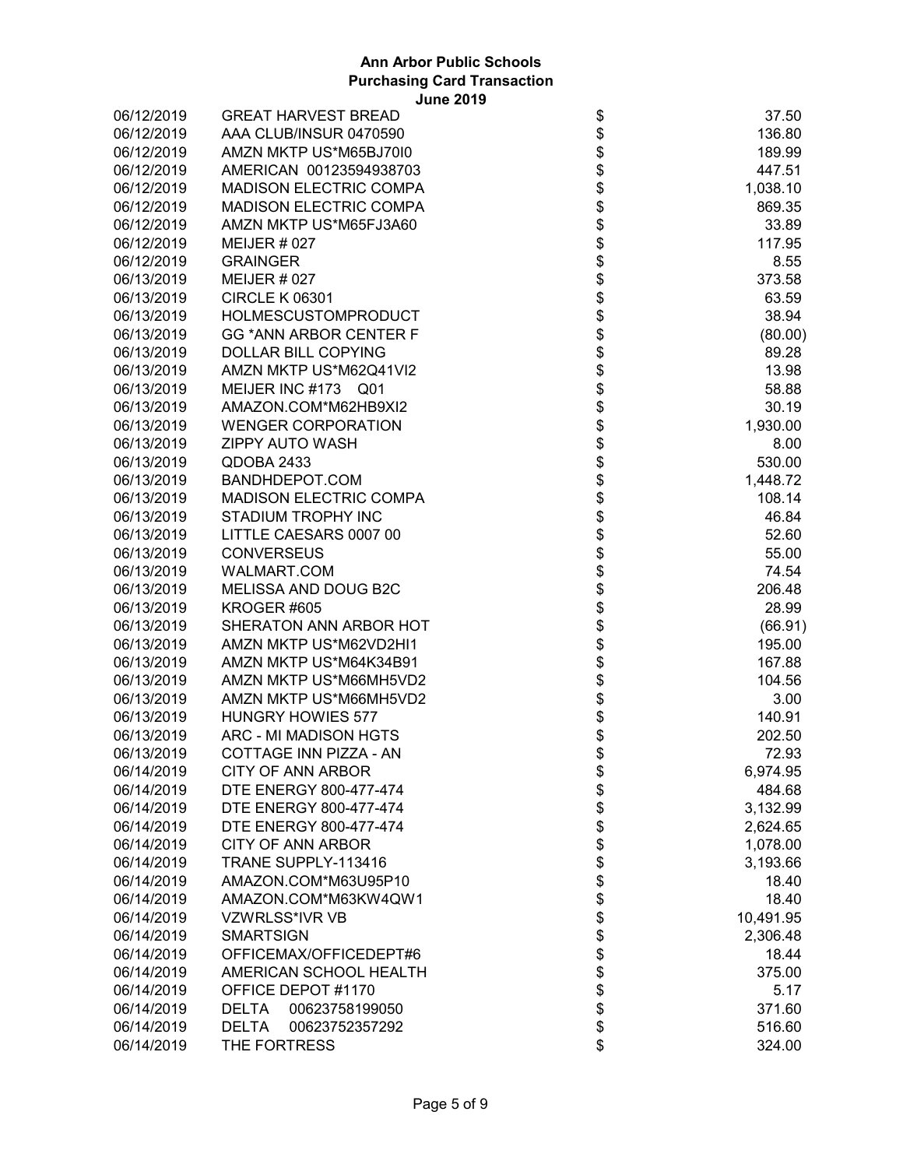| 06/12/2019 | <b>GREAT HARVEST BREAD</b>     | \$                  | 37.50     |
|------------|--------------------------------|---------------------|-----------|
| 06/12/2019 | AAA CLUB/INSUR 0470590         |                     | 136.80    |
| 06/12/2019 | AMZN MKTP US*M65BJ70I0         | \$                  | 189.99    |
| 06/12/2019 | AMERICAN 00123594938703        |                     | 447.51    |
| 06/12/2019 | <b>MADISON ELECTRIC COMPA</b>  | \$\$\$              | 1,038.10  |
| 06/12/2019 | <b>MADISON ELECTRIC COMPA</b>  |                     | 869.35    |
| 06/12/2019 | AMZN MKTP US*M65FJ3A60         |                     | 33.89     |
| 06/12/2019 | MEIJER $#027$                  |                     | 117.95    |
| 06/12/2019 | <b>GRAINGER</b>                |                     | 8.55      |
| 06/13/2019 | <b>MEIJER #027</b>             | \$\$\$              | 373.58    |
| 06/13/2019 | <b>CIRCLE K 06301</b>          |                     | 63.59     |
| 06/13/2019 | <b>HOLMESCUSTOMPRODUCT</b>     |                     | 38.94     |
| 06/13/2019 | <b>GG *ANN ARBOR CENTER F</b>  | \$\$\$              | (80.00)   |
| 06/13/2019 | <b>DOLLAR BILL COPYING</b>     |                     | 89.28     |
| 06/13/2019 | AMZN MKTP US*M62Q41VI2         |                     | 13.98     |
| 06/13/2019 | MEIJER INC #173 Q01            | \$                  | 58.88     |
| 06/13/2019 | AMAZON.COM*M62HB9XI2           |                     | 30.19     |
| 06/13/2019 | <b>WENGER CORPORATION</b>      |                     | 1,930.00  |
| 06/13/2019 | ZIPPY AUTO WASH                |                     | 8.00      |
| 06/13/2019 | QDOBA 2433                     |                     | 530.00    |
| 06/13/2019 | BANDHDEPOT.COM                 |                     | 1,448.72  |
| 06/13/2019 | <b>MADISON ELECTRIC COMPA</b>  |                     | 108.14    |
| 06/13/2019 | STADIUM TROPHY INC             |                     | 46.84     |
| 06/13/2019 | LITTLE CAESARS 0007 00         |                     | 52.60     |
| 06/13/2019 | <b>CONVERSEUS</b>              |                     | 55.00     |
| 06/13/2019 | WALMART.COM                    |                     | 74.54     |
| 06/13/2019 | MELISSA AND DOUG B2C           | <b>888888888888</b> | 206.48    |
| 06/13/2019 | KROGER #605                    |                     | 28.99     |
| 06/13/2019 | SHERATON ANN ARBOR HOT         |                     | (66.91)   |
| 06/13/2019 | AMZN MKTP US*M62VD2HI1         | \$\$                | 195.00    |
| 06/13/2019 | AMZN MKTP US*M64K34B91         |                     | 167.88    |
| 06/13/2019 | AMZN MKTP US*M66MH5VD2         | \$                  | 104.56    |
| 06/13/2019 | AMZN MKTP US*M66MH5VD2         | \$                  | 3.00      |
| 06/13/2019 | <b>HUNGRY HOWIES 577</b>       |                     | 140.91    |
| 06/13/2019 | ARC - MI MADISON HGTS          | \$<br>\$            | 202.50    |
| 06/13/2019 | COTTAGE INN PIZZA - AN         | \$                  | 72.93     |
| 06/14/2019 | CITY OF ANN ARBOR              | \$                  | 6,974.95  |
| 06/14/2019 | DTE ENERGY 800-477-474         |                     | 484.68    |
| 06/14/2019 | DTE ENERGY 800-477-474         | \$\$\$\$\$\$\$\$    | 3,132.99  |
| 06/14/2019 | DTE ENERGY 800-477-474         |                     | 2,624.65  |
| 06/14/2019 | <b>CITY OF ANN ARBOR</b>       |                     | 1,078.00  |
| 06/14/2019 | TRANE SUPPLY-113416            |                     | 3,193.66  |
| 06/14/2019 | AMAZON.COM*M63U95P10           |                     | 18.40     |
| 06/14/2019 | AMAZON.COM*M63KW4QW1           |                     | 18.40     |
| 06/14/2019 | VZWRLSS*IVR VB                 |                     | 10,491.95 |
| 06/14/2019 | <b>SMARTSIGN</b>               | \$\$                | 2,306.48  |
| 06/14/2019 | OFFICEMAX/OFFICEDEPT#6         |                     | 18.44     |
| 06/14/2019 | AMERICAN SCHOOL HEALTH         | \$                  | 375.00    |
| 06/14/2019 | OFFICE DEPOT #1170             | \$                  | 5.17      |
| 06/14/2019 | <b>DELTA</b><br>00623758199050 |                     | 371.60    |
| 06/14/2019 | 00623752357292<br><b>DELTA</b> | \$<br>\$            | 516.60    |
| 06/14/2019 | THE FORTRESS                   | \$                  | 324.00    |
|            |                                |                     |           |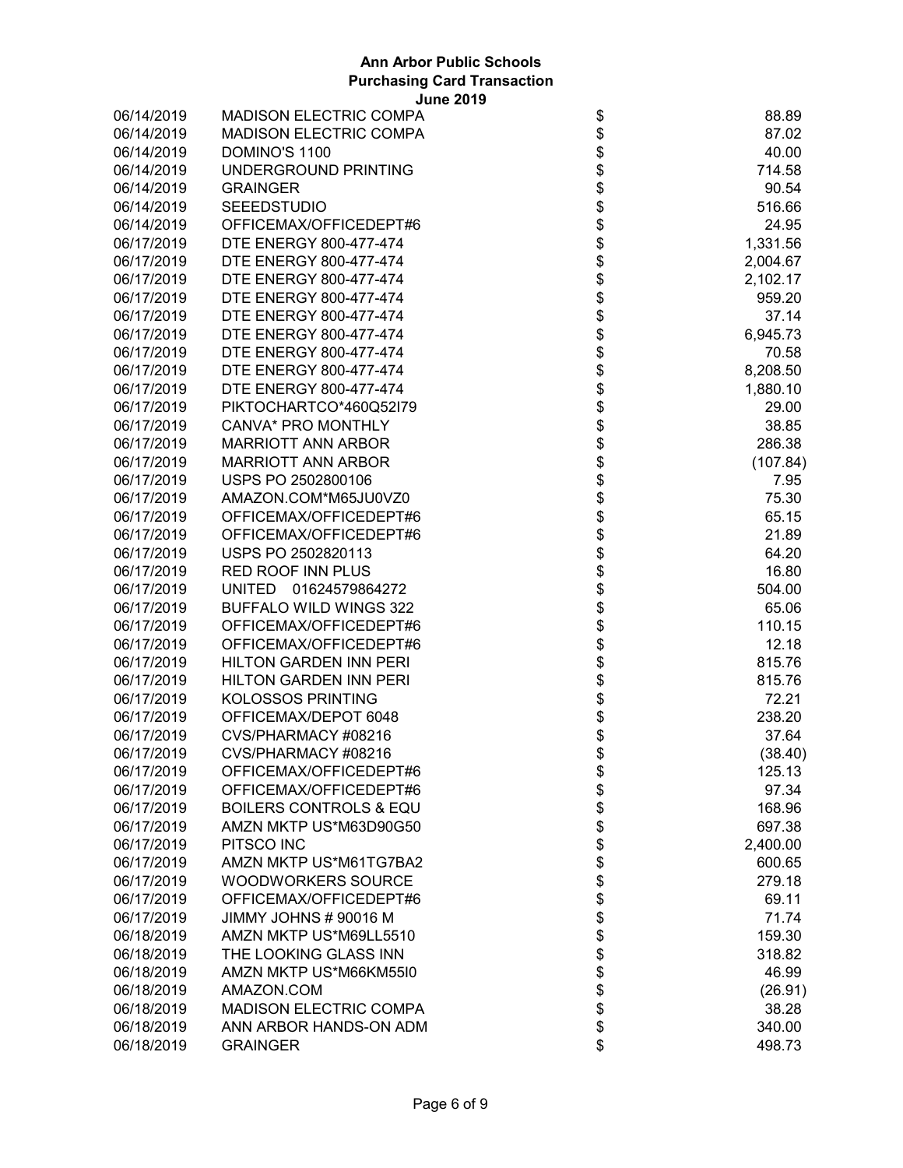| 06/14/2019               | <b>MADISON ELECTRIC COMPA</b>     | \$                               | 88.89    |
|--------------------------|-----------------------------------|----------------------------------|----------|
| 06/14/2019               | <b>MADISON ELECTRIC COMPA</b>     | \$\$                             | 87.02    |
| 06/14/2019               | DOMINO'S 1100                     |                                  | 40.00    |
| 06/14/2019               | UNDERGROUND PRINTING              |                                  | 714.58   |
| 06/14/2019               | <b>GRAINGER</b>                   | \$                               | 90.54    |
| 06/14/2019               | <b>SEEEDSTUDIO</b>                | \$\$\$                           | 516.66   |
| 06/14/2019               | OFFICEMAX/OFFICEDEPT#6            |                                  | 24.95    |
| 06/17/2019               | DTE ENERGY 800-477-474            |                                  | 1,331.56 |
| 06/17/2019               | DTE ENERGY 800-477-474            |                                  | 2,004.67 |
| 06/17/2019               | DTE ENERGY 800-477-474            | \$\$                             | 2,102.17 |
| 06/17/2019               | DTE ENERGY 800-477-474            |                                  | 959.20   |
| 06/17/2019               | DTE ENERGY 800-477-474            |                                  | 37.14    |
| 06/17/2019               | DTE ENERGY 800-477-474            | \$                               | 6,945.73 |
| 06/17/2019               | DTE ENERGY 800-477-474            | \$                               | 70.58    |
| 06/17/2019               | DTE ENERGY 800-477-474            |                                  | 8,208.50 |
| 06/17/2019               | DTE ENERGY 800-477-474            |                                  | 1,880.10 |
| 06/17/2019               | PIKTOCHARTCO*460Q52I79            |                                  | 29.00    |
| 06/17/2019               | CANVA* PRO MONTHLY                |                                  | 38.85    |
| 06/17/2019               | <b>MARRIOTT ANN ARBOR</b>         |                                  | 286.38   |
| 06/17/2019               | <b>MARRIOTT ANN ARBOR</b>         |                                  | (107.84) |
| 06/17/2019               | USPS PO 2502800106                |                                  | 7.95     |
| 06/17/2019               | AMAZON.COM*M65JU0VZ0              |                                  | 75.30    |
| 06/17/2019               | OFFICEMAX/OFFICEDEPT#6            |                                  | 65.15    |
| 06/17/2019               | OFFICEMAX/OFFICEDEPT#6            |                                  | 21.89    |
| 06/17/2019               | USPS PO 2502820113                | <b>8888888888</b>                | 64.20    |
| 06/17/2019               | <b>RED ROOF INN PLUS</b>          |                                  | 16.80    |
| 06/17/2019               | UNITED 01624579864272             |                                  | 504.00   |
| 06/17/2019               | BUFFALO WILD WINGS 322            | \$\$\$                           | 65.06    |
| 06/17/2019               | OFFICEMAX/OFFICEDEPT#6            |                                  | 110.15   |
| 06/17/2019               | OFFICEMAX/OFFICEDEPT#6            | \$                               | 12.18    |
| 06/17/2019               | <b>HILTON GARDEN INN PERI</b>     | \$                               | 815.76   |
|                          | <b>HILTON GARDEN INN PERI</b>     | \$                               | 815.76   |
| 06/17/2019<br>06/17/2019 | <b>KOLOSSOS PRINTING</b>          |                                  | 72.21    |
|                          |                                   | \$<br>\$                         |          |
| 06/17/2019               | OFFICEMAX/DEPOT 6048              |                                  | 238.20   |
| 06/17/2019               | CVS/PHARMACY #08216               | \$<br>\$                         | 37.64    |
| 06/17/2019               | CVS/PHARMACY #08216               |                                  | (38.40)  |
| 06/17/2019               | OFFICEMAX/OFFICEDEPT#6            | \$                               | 125.13   |
| 06/17/2019               | OFFICEMAX/OFFICEDEPT#6            |                                  | 97.34    |
| 06/17/2019               | <b>BOILERS CONTROLS &amp; EQU</b> |                                  | 168.96   |
| 06/17/2019               | AMZN MKTP US*M63D90G50            |                                  | 697.38   |
| 06/17/2019               | PITSCO INC                        |                                  | 2,400.00 |
| 06/17/2019               | AMZN MKTP US*M61TG7BA2            |                                  | 600.65   |
| 06/17/2019               | WOODWORKERS SOURCE                |                                  | 279.18   |
| 06/17/2019               | OFFICEMAX/OFFICEDEPT#6            |                                  | 69.11    |
| 06/17/2019               | JIMMY JOHNS # 90016 M             |                                  | 71.74    |
| 06/18/2019               | AMZN MKTP US*M69LL5510            |                                  | 159.30   |
| 06/18/2019               | THE LOOKING GLASS INN             |                                  | 318.82   |
| 06/18/2019               | AMZN MKTP US*M66KM55I0            |                                  | 46.99    |
| 06/18/2019               | AMAZON.COM                        |                                  | (26.91)  |
| 06/18/2019               | <b>MADISON ELECTRIC COMPA</b>     | \$\$\$\$\$\$\$\$\$\$\$\$\$\$\$\$ | 38.28    |
| 06/18/2019               | ANN ARBOR HANDS-ON ADM            |                                  | 340.00   |
| 06/18/2019               | <b>GRAINGER</b>                   | \$                               | 498.73   |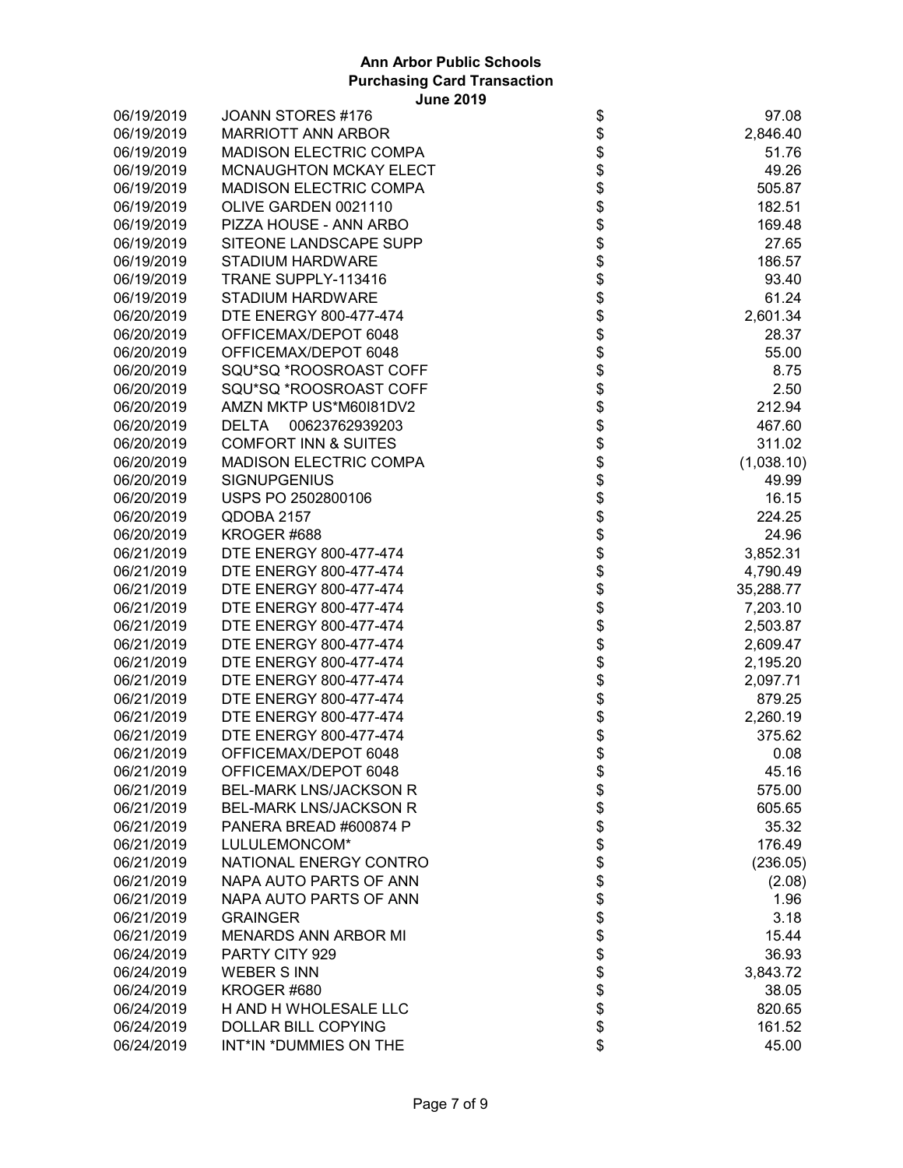| 06/19/2019 | JOANN STORES #176               |                                    | 97.08      |
|------------|---------------------------------|------------------------------------|------------|
| 06/19/2019 | <b>MARRIOTT ANN ARBOR</b>       |                                    | 2,846.40   |
| 06/19/2019 | <b>MADISON ELECTRIC COMPA</b>   |                                    | 51.76      |
| 06/19/2019 | MCNAUGHTON MCKAY ELECT          |                                    | 49.26      |
| 06/19/2019 | <b>MADISON ELECTRIC COMPA</b>   |                                    | 505.87     |
| 06/19/2019 | OLIVE GARDEN 0021110            |                                    | 182.51     |
| 06/19/2019 | PIZZA HOUSE - ANN ARBO          |                                    | 169.48     |
| 06/19/2019 | SITEONE LANDSCAPE SUPP          |                                    | 27.65      |
| 06/19/2019 | <b>STADIUM HARDWARE</b>         |                                    | 186.57     |
| 06/19/2019 | TRANE SUPPLY-113416             |                                    | 93.40      |
| 06/19/2019 | <b>STADIUM HARDWARE</b>         |                                    | 61.24      |
| 06/20/2019 | DTE ENERGY 800-477-474          |                                    | 2,601.34   |
| 06/20/2019 | OFFICEMAX/DEPOT 6048            |                                    | 28.37      |
| 06/20/2019 | OFFICEMAX/DEPOT 6048            |                                    | 55.00      |
| 06/20/2019 | SQU*SQ *ROOSROAST COFF          |                                    | 8.75       |
| 06/20/2019 | SQU*SQ *ROOSROAST COFF          |                                    | 2.50       |
| 06/20/2019 | AMZN MKTP US*M60I81DV2          |                                    | 212.94     |
| 06/20/2019 | <b>DELTA</b><br>00623762939203  |                                    | 467.60     |
| 06/20/2019 | <b>COMFORT INN &amp; SUITES</b> |                                    | 311.02     |
| 06/20/2019 | <b>MADISON ELECTRIC COMPA</b>   |                                    | (1,038.10) |
| 06/20/2019 | <b>SIGNUPGENIUS</b>             |                                    | 49.99      |
| 06/20/2019 | USPS PO 2502800106              |                                    | 16.15      |
| 06/20/2019 | QDOBA 2157                      |                                    | 224.25     |
| 06/20/2019 | KROGER #688                     |                                    | 24.96      |
| 06/21/2019 | DTE ENERGY 800-477-474          |                                    | 3,852.31   |
| 06/21/2019 | DTE ENERGY 800-477-474          |                                    | 4,790.49   |
| 06/21/2019 | DTE ENERGY 800-477-474          |                                    | 35,288.77  |
| 06/21/2019 | DTE ENERGY 800-477-474          |                                    | 7,203.10   |
| 06/21/2019 | DTE ENERGY 800-477-474          |                                    | 2,503.87   |
| 06/21/2019 | DTE ENERGY 800-477-474          |                                    | 2,609.47   |
| 06/21/2019 | DTE ENERGY 800-477-474          |                                    | 2,195.20   |
| 06/21/2019 | DTE ENERGY 800-477-474          | \$                                 | 2,097.71   |
| 06/21/2019 | DTE ENERGY 800-477-474          |                                    | 879.25     |
| 06/21/2019 | DTE ENERGY 800-477-474          |                                    | 2,260.19   |
| 06/21/2019 | DTE ENERGY 800-477-474          | \$\$                               | 375.62     |
| 06/21/2019 | OFFICEMAX/DEPOT 6048            | \$                                 | 0.08       |
| 06/21/2019 | OFFICEMAX/DEPOT 6048            | \$                                 | 45.16      |
| 06/21/2019 | <b>BEL-MARK LNS/JACKSON R</b>   |                                    | 575.00     |
| 06/21/2019 | <b>BEL-MARK LNS/JACKSON R</b>   |                                    | 605.65     |
| 06/21/2019 | PANERA BREAD #600874 P          |                                    | 35.32      |
| 06/21/2019 | LULULEMONCOM*                   |                                    | 176.49     |
| 06/21/2019 | NATIONAL ENERGY CONTRO          |                                    | (236.05)   |
| 06/21/2019 | NAPA AUTO PARTS OF ANN          |                                    | (2.08)     |
| 06/21/2019 | NAPA AUTO PARTS OF ANN          |                                    | 1.96       |
| 06/21/2019 | <b>GRAINGER</b>                 |                                    | 3.18       |
| 06/21/2019 | <b>MENARDS ANN ARBOR MI</b>     |                                    | 15.44      |
| 06/24/2019 | PARTY CITY 929                  |                                    | 36.93      |
| 06/24/2019 | <b>WEBER S INN</b>              |                                    | 3,843.72   |
| 06/24/2019 | KROGER #680                     |                                    | 38.05      |
| 06/24/2019 | H AND H WHOLESALE LLC           |                                    | 820.65     |
| 06/24/2019 | <b>DOLLAR BILL COPYING</b>      |                                    | 161.52     |
| 06/24/2019 | INT*IN *DUMMIES ON THE          | \$\$\$\$\$\$\$\$\$\$\$\$\$\$\$\$\$ | 45.00      |
|            |                                 |                                    |            |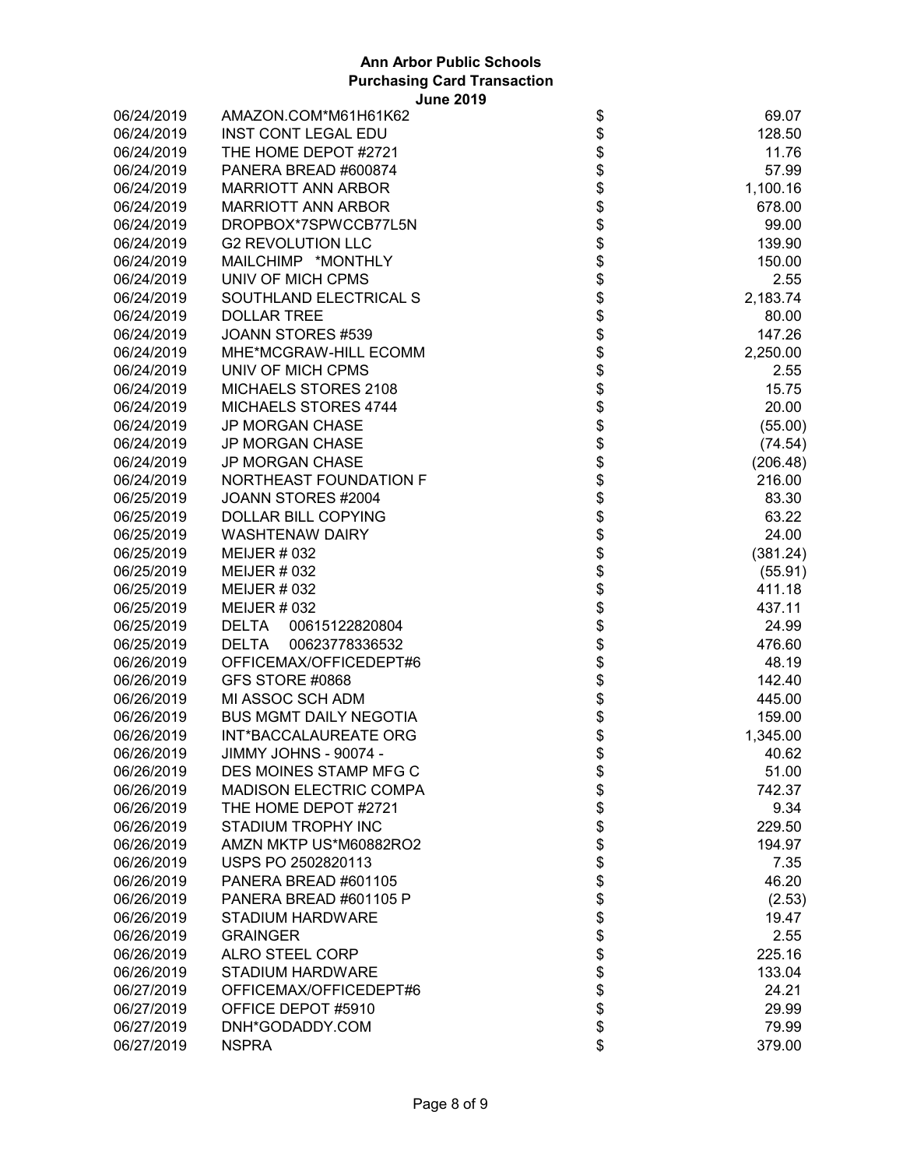| 06/24/2019 | AMAZON.COM*M61H61K62           | \$             | 69.07    |
|------------|--------------------------------|----------------|----------|
| 06/24/2019 | <b>INST CONT LEGAL EDU</b>     |                | 128.50   |
| 06/24/2019 | THE HOME DEPOT #2721           | \$             | 11.76    |
| 06/24/2019 | PANERA BREAD #600874           |                | 57.99    |
| 06/24/2019 | <b>MARRIOTT ANN ARBOR</b>      | \$<br>\$       | 1,100.16 |
| 06/24/2019 | <b>MARRIOTT ANN ARBOR</b>      | \$             | 678.00   |
| 06/24/2019 | DROPBOX*7SPWCCB77L5N           | \$             | 99.00    |
| 06/24/2019 | <b>G2 REVOLUTION LLC</b>       |                | 139.90   |
| 06/24/2019 | MAILCHIMP *MONTHLY             | \$<br>\$       | 150.00   |
| 06/24/2019 | UNIV OF MICH CPMS              | \$             | 2.55     |
| 06/24/2019 | SOUTHLAND ELECTRICAL S         | \$             | 2,183.74 |
| 06/24/2019 | <b>DOLLAR TREE</b>             |                | 80.00    |
| 06/24/2019 | JOANN STORES #539              | \$\$\$         | 147.26   |
| 06/24/2019 | MHE*MCGRAW-HILL ECOMM          |                | 2,250.00 |
| 06/24/2019 | UNIV OF MICH CPMS              |                | 2.55     |
| 06/24/2019 | MICHAELS STORES 2108           |                | 15.75    |
| 06/24/2019 | MICHAELS STORES 4744           |                | 20.00    |
| 06/24/2019 | <b>JP MORGAN CHASE</b>         | <b>8888888</b> | (55.00)  |
| 06/24/2019 | <b>JP MORGAN CHASE</b>         |                |          |
|            | <b>JP MORGAN CHASE</b>         |                | (74.54)  |
| 06/24/2019 |                                |                | (206.48) |
| 06/24/2019 | NORTHEAST FOUNDATION F         |                | 216.00   |
| 06/25/2019 | JOANN STORES #2004             |                | 83.30    |
| 06/25/2019 | <b>DOLLAR BILL COPYING</b>     | \$             | 63.22    |
| 06/25/2019 | <b>WASHTENAW DAIRY</b>         | \$             | 24.00    |
| 06/25/2019 | <b>MEIJER # 032</b>            | \$             | (381.24) |
| 06/25/2019 | <b>MEIJER # 032</b>            | \$             | (55.91)  |
| 06/25/2019 | <b>MEIJER # 032</b>            | \$<br>\$       | 411.18   |
| 06/25/2019 | <b>MEIJER # 032</b>            |                | 437.11   |
| 06/25/2019 | <b>DELTA</b><br>00615122820804 | \$             | 24.99    |
| 06/25/2019 | <b>DELTA</b><br>00623778336532 | \$             | 476.60   |
| 06/26/2019 | OFFICEMAX/OFFICEDEPT#6         | \$             | 48.19    |
| 06/26/2019 | GFS STORE #0868                | \$             | 142.40   |
| 06/26/2019 | MI ASSOC SCH ADM               | \$<br>\$       | 445.00   |
| 06/26/2019 | <b>BUS MGMT DAILY NEGOTIA</b>  |                | 159.00   |
| 06/26/2019 | INT*BACCALAUREATE ORG          | \$             | 1,345.00 |
| 06/26/2019 | JIMMY JOHNS - 90074 -          | \$             | 40.62    |
| 06/26/2019 | DES MOINES STAMP MFG C         | \$             | 51.00    |
| 06/26/2019 | <b>MADISON ELECTRIC COMPA</b>  |                | 742.37   |
| 06/26/2019 | THE HOME DEPOT #2721           |                | 9.34     |
| 06/26/2019 | <b>STADIUM TROPHY INC</b>      |                | 229.50   |
| 06/26/2019 | AMZN MKTP US*M60882RO2         |                | 194.97   |
| 06/26/2019 | USPS PO 2502820113             |                | 7.35     |
| 06/26/2019 | PANERA BREAD #601105           |                | 46.20    |
| 06/26/2019 | PANERA BREAD #601105 P         |                | (2.53)   |
| 06/26/2019 | <b>STADIUM HARDWARE</b>        |                | 19.47    |
| 06/26/2019 | <b>GRAINGER</b>                |                | 2.55     |
| 06/26/2019 | <b>ALRO STEEL CORP</b>         |                | 225.16   |
| 06/26/2019 | <b>STADIUM HARDWARE</b>        |                | 133.04   |
| 06/27/2019 | OFFICEMAX/OFFICEDEPT#6         |                | 24.21    |
| 06/27/2019 | OFFICE DEPOT #5910             |                | 29.99    |
| 06/27/2019 | DNH*GODADDY.COM                | ୫୫୫୫୫୫୫୫୫୫୫୫୫୫ | 79.99    |
| 06/27/2019 | <b>NSPRA</b>                   |                | 379.00   |
|            |                                |                |          |